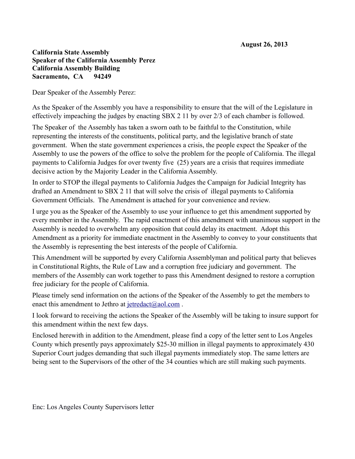## **California State Assembly Speaker of the California Assembly Perez California Assembly Building Sacramento, CA 94249**

Dear Speaker of the Assembly Perez:

As the Speaker of the Assembly you have a responsibility to ensure that the will of the Legislature in effectively impeaching the judges by enacting SBX 2 11 by over 2/3 of each chamber is followed.

The Speaker of the Assembly has taken a sworn oath to be faithful to the Constitution, while representing the interests of the constituents, political party, and the legislative branch of state government. When the state government experiences a crisis, the people expect the Speaker of the Assembly to use the powers of the office to solve the problem for the people of California. The illegal payments to California Judges for over twenty five (25) years are a crisis that requires immediate decisive action by the Majority Leader in the California Assembly.

In order to STOP the illegal payments to California Judges the Campaign for Judicial Integrity has drafted an Amendment to SBX 2 11 that will solve the crisis of illegal payments to California Government Officials. The Amendment is attached for your convenience and review.

I urge you as the Speaker of the Assembly to use your influence to get this amendment supported by every member in the Assembly. The rapid enactment of this amendment with unanimous support in the Assembly is needed to overwhelm any opposition that could delay its enactment. Adopt this Amendment as a priority for immediate enactment in the Assembly to convey to your constituents that the Assembly is representing the best interests of the people of California.

This Amendment will be supported by every California Assemblyman and political party that believes in Constitutional Rights, the Rule of Law and a corruption free judiciary and government. The members of the Assembly can work together to pass this Amendment designed to restore a corruption free judiciary for the people of California.

Please timely send information on the actions of the Speaker of the Assembly to get the members to enact this amendment to Jethro at jetredact@aol.com.

I look forward to receiving the actions the Speaker of the Assembly will be taking to insure support for this amendment within the next few days.

Enclosed herewith in addition to the Amendment, please find a copy of the letter sent to Los Angeles County which presently pays approximately \$25-30 million in illegal payments to approximately 430 Superior Court judges demanding that such illegal payments immediately stop. The same letters are being sent to the Supervisors of the other of the 34 counties which are still making such payments.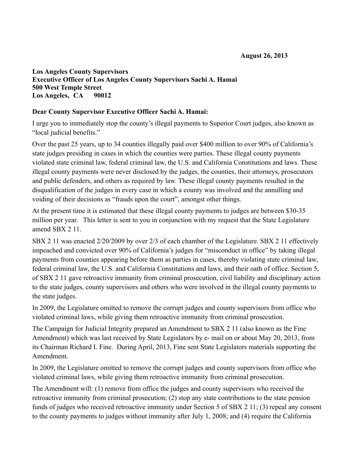## **Los Angeles County Supervisors Executive Officer of Los Angeles County Supervisors Sachi A. Hamai 500 West Temple Street Los Angeles, CA 90012**

## **Dear County Supervisor Executive Officer Sachi A. Hamai:**

I urge you to immediately stop the county's illegal payments to Superior Court judges, also known as "local judicial benefits."

Over the past 25 years, up to 34 counties illegally paid over \$400 million to over 90% of California's state judges presiding in cases in which the counties were parties. These illegal county payments violated state criminal law, federal criminal law, the U.S. and California Constitutions and laws. These illegal county payments were never disclosed by the judges, the counties, their attorneys, prosecutors and public defenders, and others as required by law. These illegal county payments resulted in the disqualification of the judges in every case in which a county was involved and the annulling and voiding of their decisions as "frauds upon the court", amongst other things.

At the present time it is estimated that these illegal county payments to judges are between \$30-35 million per year. This letter is sent to you in conjunction with my request that the State Legislature amend SBX 2 11.

SBX 2 11 was enacted 2/20/2009 by over 2/3 of each chamber of the Legislature. SBX 2 11 effectively impeached and convicted over 90% of California's judges for "misconduct in office" by taking illegal payments from counties appearing before them as parties in cases, thereby violating state criminal law, federal criminal law, the U.S. and California Constitutions and laws, and their oath of office. Section 5, of SBX 2 11 gave retroactive immunity from criminal prosecution, civil liability and disciplinary action to the state judges, county supervisors and others who were involved in the illegal county payments to the state judges.

In 2009, the Legislature omitted to remove the corrupt judges and county supervisors from office who violated criminal laws, while giving them retroactive immunity from criminal prosecution.

The Campaign for Judicial Integrity prepared an Amendment to SBX 2 11 (also known as the Fine Amendment) which was last received by State Legislators by e- mail on or about May 20, 2013, from its Chairman Richard I. Fine. During April, 2013, Fine sent State Legislators materials supporting the Amendment.

In 2009, the Legislature omitted to remove the corrupt judges and county supervisors from office who violated criminal laws, while giving them retroactive immunity from criminal prosecution.

The Amendment will: (1) remove from office the judges and county supervisors who received the retroactive immunity from criminal prosecution; (2) stop any state contributions to the state pension funds of judges who received retroactive immunity under Section 5 of SBX 2 11; (3) repeal any consent to the county payments to judges without immunity after July 1, 2008; and (4) require the California